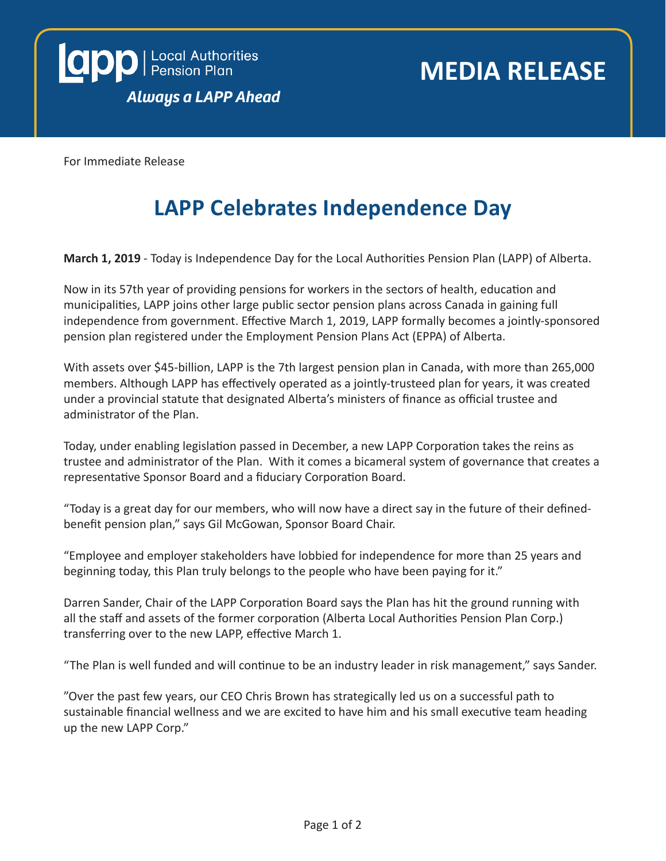

For Immediate Release

### **LAPP Celebrates Independence Day**

**March 1, 2019** - Today is Independence Day for the Local Authorities Pension Plan (LAPP) of Alberta.

Now in its 57th year of providing pensions for workers in the sectors of health, education and municipalities, LAPP joins other large public sector pension plans across Canada in gaining full independence from government. Effective March 1, 2019, LAPP formally becomes a jointly-sponsored pension plan registered under the Employment Pension Plans Act (EPPA) of Alberta.

With assets over \$45-billion, LAPP is the 7th largest pension plan in Canada, with more than 265,000 members. Although LAPP has effectively operated as a jointly-trusteed plan for years, it was created under a provincial statute that designated Alberta's ministers of finance as official trustee and administrator of the Plan.

Today, under enabling legislation passed in December, a new LAPP Corporation takes the reins as trustee and administrator of the Plan. With it comes a bicameral system of governance that creates a representative Sponsor Board and a fiduciary Corporation Board.

"Today is a great day for our members, who will now have a direct say in the future of their definedbenefit pension plan," says Gil McGowan, Sponsor Board Chair.

"Employee and employer stakeholders have lobbied for independence for more than 25 years and beginning today, this Plan truly belongs to the people who have been paying for it."

Darren Sander, Chair of the LAPP Corporation Board says the Plan has hit the ground running with all the staff and assets of the former corporation (Alberta Local Authorities Pension Plan Corp.) transferring over to the new LAPP, effective March 1.

"The Plan is well funded and will continue to be an industry leader in risk management," says Sander.

"Over the past few years, our CEO Chris Brown has strategically led us on a successful path to sustainable financial wellness and we are excited to have him and his small executive team heading up the new LAPP Corp."